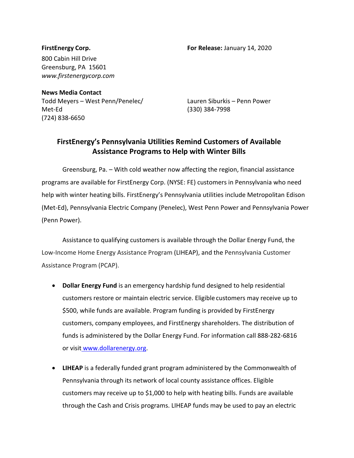**FirstEnergy Corp. For Release:** January 14, 2020

800 Cabin Hill Drive Greensburg, PA 15601 *[www.firstenergycorp.com](http://www.firstenergycorp.com/)*

**News Media Contact** Todd Meyers – West Penn/Penelec/ Lauren Siburkis – Penn Power Met-Ed (330) 384-7998 (724) 838-6650

## **FirstEnergy's Pennsylvania Utilities Remind Customers of Available Assistance Programs to Help with Winter Bills**

Greensburg, Pa. – With cold weather now affecting the region, financial assistance programs are available for FirstEnergy Corp. (NYSE: FE) customers in Pennsylvania who need help with winter heating bills. FirstEnergy's Pennsylvania utilities include Metropolitan Edison (Met-Ed), Pennsylvania Electric Company (Penelec), West Penn Power and Pennsylvania Power (Penn Power).

Assistance to qualifying customers is available through the Dollar Energy Fund, the Low-Income Home Energy Assistance Program (LIHEAP), and the Pennsylvania Customer Assistance Program (PCAP).

- **Dollar Energy Fund** is an emergency hardship fund designed to help residential customers restore or maintain electric service. Eligible customers may receive up to \$500, while funds are available. Program funding is provided by FirstEnergy customers, company employees, and FirstEnergy shareholders. The distribution of funds is administered by the Dollar Energy Fund. For information call 888-282-6816 or visit [www.dollarenergy.org.](http://www.dollarenergy.org/)
- **LIHEAP** is a federally funded grant program administered by the Commonwealth of Pennsylvania through its network of local county assistance offices. Eligible customers may receive up to \$1,000 to help with heating bills. Funds are available through the Cash and Crisis programs. LIHEAP funds may be used to pay an electric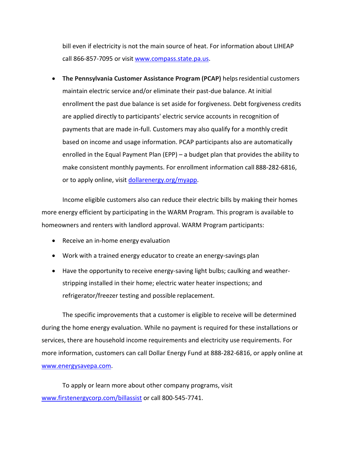bill even if electricity is not the main source of heat. For information about LIHEAP call 866-857-7095 or visit [www.compass.state.pa.us.](http://www.compass.state.pa.us/)

• **The Pennsylvania Customer Assistance Program (PCAP)** helpsresidential customers maintain electric service and/or eliminate their past-due balance. At initial enrollment the past due balance is set aside for forgiveness. Debt forgiveness credits are applied directly to participants' electric service accounts in recognition of payments that are made in-full. Customers may also qualify for a monthly credit based on income and usage information. PCAP participants also are automatically enrolled in the Equal Payment Plan (EPP) – a budget plan that provides the ability to make consistent monthly payments. For enrollment information call 888-282-6816, or to apply online, visit [dollarenergy.org/myapp.](https://www.dollarenergy.org/myapp/)

Income eligible customers also can reduce their electric bills by making their homes more energy efficient by participating in the WARM Program. This program is available to homeowners and renters with landlord approval. WARM Program participants:

- Receive an in-home energy evaluation
- Work with a trained energy educator to create an energy-savings plan
- Have the opportunity to receive energy-saving light bulbs; caulking and weatherstripping installed in their home; electric water heater inspections; and refrigerator/freezer testing and possible replacement.

The specific improvements that a customer is eligible to receive will be determined during the home energy evaluation. While no payment is required for these installations or services, there are household income requirements and electricity use requirements. For more information, customers can call Dollar Energy Fund at 888-282-6816, or apply online at [www.energysavepa.com.](http://www.energysavepa.com/)

To apply or learn more about other company programs, visit [www.firstenergycorp.com/billassist](http://www.firstenergycorp.com/billassist%20or%20call%20800-545-7741) or call 800-545-7741.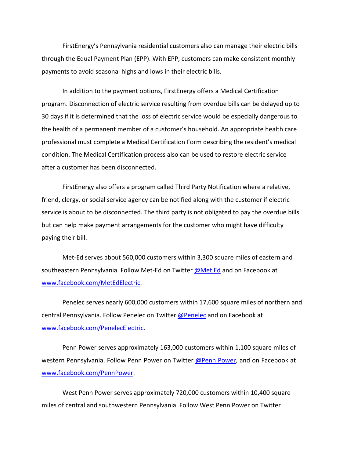FirstEnergy's Pennsylvania residential customers also can manage their electric bills through the Equal Payment Plan (EPP). With EPP, customers can make consistent monthly payments to avoid seasonal highs and lows in their electric bills.

In addition to the payment options, FirstEnergy offers a Medical Certification program. Disconnection of electric service resulting from overdue bills can be delayed up to 30 days if it is determined that the loss of electric service would be especially dangerous to the health of a permanent member of a customer's household. An appropriate health care professional must complete a Medical Certification Form describing the resident's medical condition. The Medical Certification process also can be used to restore electric service after a customer has been disconnected.

FirstEnergy also offers a program called Third Party Notification where a relative, friend, clergy, or social service agency can be notified along with the customer if electric service is about to be disconnected. The third party is not obligated to pay the overdue bills but can help make payment arrangements for the customer who might have difficulty paying their bill.

Met-Ed serves about 560,000 customers within 3,300 square miles of eastern and southeastern Pennsylvania. Follow Met-Ed on Twitter [@Met Ed](http://www.twitter.com/met_ed) and on Facebook at [www.facebook.com/MetEdElectric.](http://www.facebook.com/MetEdElectric)

Penelec serves nearly 600,000 customers within 17,600 square miles of northern and central Pennsylvania. Follow Penelec on Twitter [@Penelec](http://www.twitter.com/%40Penelec) and on Facebook at [www.facebook.com/PenelecElectric.](http://www.facebook.com/PenelecElectric)

Penn Power serves approximately 163,000 customers within 1,100 square miles of western Pennsylvania. Follow Penn Power on Twitter [@Penn Power,](http://www.twitter.com/penn_power) and on Facebook at [www.facebook.com/PennPower.](http://www.facebook.com/PennPower)

West Penn Power serves approximately 720,000 customers within 10,400 square miles of central and southwestern Pennsylvania. Follow West Penn Power on Twitter